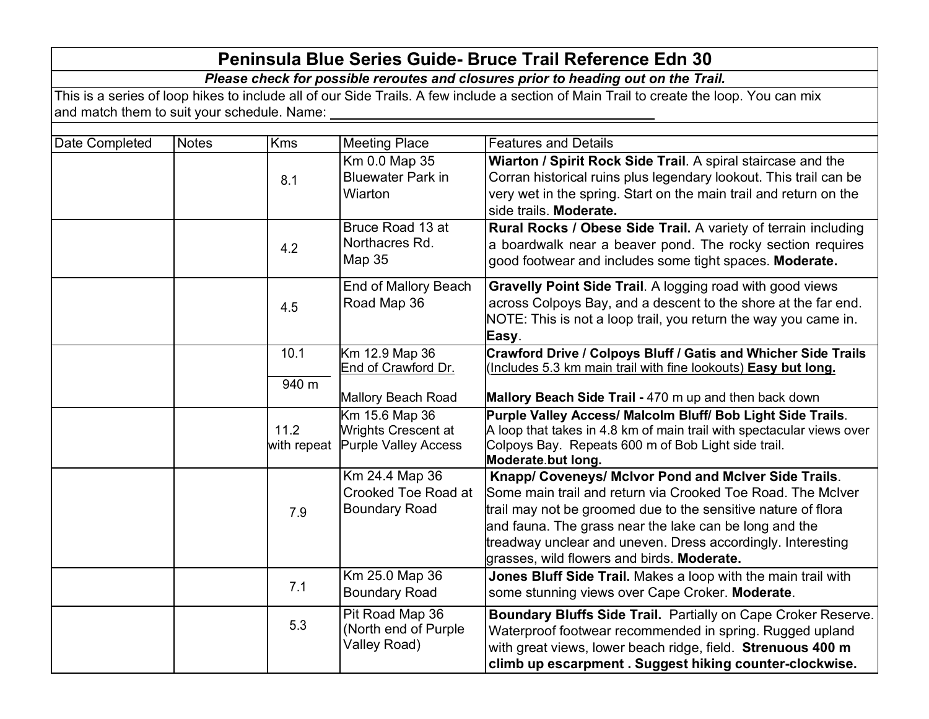| <b>Peninsula Blue Series Guide- Bruce Trail Reference Edn 30</b>                                                                        |              |            |                                                                           |                                                                                                                                                                                                                                                                                                                                                             |  |  |  |
|-----------------------------------------------------------------------------------------------------------------------------------------|--------------|------------|---------------------------------------------------------------------------|-------------------------------------------------------------------------------------------------------------------------------------------------------------------------------------------------------------------------------------------------------------------------------------------------------------------------------------------------------------|--|--|--|
| Please check for possible reroutes and closures prior to heading out on the Trail.                                                      |              |            |                                                                           |                                                                                                                                                                                                                                                                                                                                                             |  |  |  |
| This is a series of loop hikes to include all of our Side Trails. A few include a section of Main Trail to create the loop. You can mix |              |            |                                                                           |                                                                                                                                                                                                                                                                                                                                                             |  |  |  |
| and match them to suit your schedule. Name:                                                                                             |              |            |                                                                           |                                                                                                                                                                                                                                                                                                                                                             |  |  |  |
| Date Completed                                                                                                                          | <b>Notes</b> | <b>Kms</b> | <b>Meeting Place</b>                                                      | <b>Features and Details</b>                                                                                                                                                                                                                                                                                                                                 |  |  |  |
|                                                                                                                                         |              |            | Km 0.0 Map 35                                                             | Wiarton / Spirit Rock Side Trail. A spiral staircase and the                                                                                                                                                                                                                                                                                                |  |  |  |
|                                                                                                                                         |              | 8.1        | <b>Bluewater Park in</b><br>Wiarton                                       | Corran historical ruins plus legendary lookout. This trail can be<br>very wet in the spring. Start on the main trail and return on the<br>side trails. Moderate.                                                                                                                                                                                            |  |  |  |
|                                                                                                                                         |              | 4.2        | Bruce Road 13 at<br>Northacres Rd.<br>Map 35                              | Rural Rocks / Obese Side Trail. A variety of terrain including<br>a boardwalk near a beaver pond. The rocky section requires<br>good footwear and includes some tight spaces. Moderate.                                                                                                                                                                     |  |  |  |
|                                                                                                                                         |              | 4.5        | End of Mallory Beach<br>Road Map 36                                       | Gravelly Point Side Trail. A logging road with good views<br>across Colpoys Bay, and a descent to the shore at the far end.<br>NOTE: This is not a loop trail, you return the way you came in.<br>Easy.                                                                                                                                                     |  |  |  |
|                                                                                                                                         |              | 10.1       | Km 12.9 Map 36<br>End of Crawford Dr.                                     | <b>Crawford Drive / Colpoys Bluff / Gatis and Whicher Side Trails</b><br>(Includes 5.3 km main trail with fine lookouts) Easy but long.                                                                                                                                                                                                                     |  |  |  |
|                                                                                                                                         |              | 940 m      | Mallory Beach Road                                                        | Mallory Beach Side Trail - 470 m up and then back down                                                                                                                                                                                                                                                                                                      |  |  |  |
|                                                                                                                                         |              | 11.2       | Km 15.6 Map 36<br>Wrights Crescent at<br>with repeat Purple Valley Access | Purple Valley Access/ Malcolm Bluff/ Bob Light Side Trails.<br>A loop that takes in 4.8 km of main trail with spectacular views over<br>Colpoys Bay. Repeats 600 m of Bob Light side trail.<br>Moderate but long.                                                                                                                                           |  |  |  |
|                                                                                                                                         |              | 7.9        | Km 24.4 Map 36<br>Crooked Toe Road at<br><b>Boundary Road</b>             | Knapp/ Coveneys/ McIvor Pond and McIver Side Trails.<br>Some main trail and return via Crooked Toe Road. The McIver<br>trail may not be groomed due to the sensitive nature of flora<br>and fauna. The grass near the lake can be long and the<br>treadway unclear and uneven. Dress accordingly. Interesting<br>grasses, wild flowers and birds. Moderate. |  |  |  |
|                                                                                                                                         |              | 7.1        | Km 25.0 Map 36<br><b>Boundary Road</b>                                    | Jones Bluff Side Trail. Makes a loop with the main trail with<br>some stunning views over Cape Croker. Moderate.                                                                                                                                                                                                                                            |  |  |  |
|                                                                                                                                         |              | 5.3        | Pit Road Map 36<br>(North end of Purple<br>Valley Road)                   | Boundary Bluffs Side Trail. Partially on Cape Croker Reserve.<br>Waterproof footwear recommended in spring. Rugged upland<br>with great views, lower beach ridge, field. Strenuous 400 m<br>climb up escarpment. Suggest hiking counter-clockwise.                                                                                                          |  |  |  |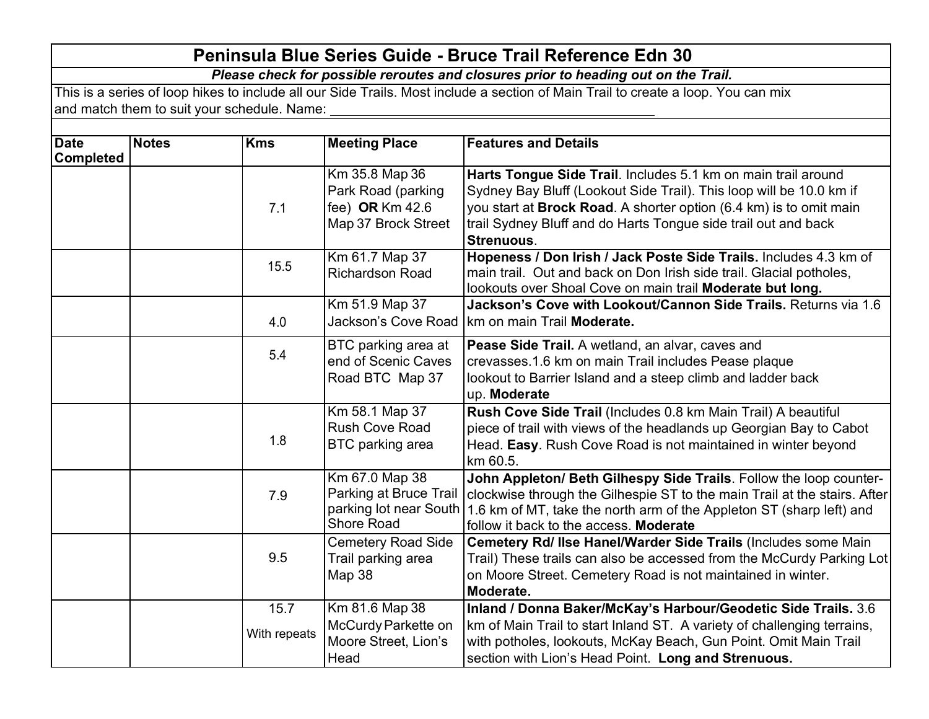## **Peninsula Blue Series Guide - Bruce Trail Reference Edn 30**

*Please check for possible reroutes and closures prior to heading out on the Trail.*

This is a series of loop hikes to include all our Side Trails. Most include a section of Main Trail to create a loop. You can mix and match them to suit your schedule. Name:

| <b>Date</b>      | <b>Notes</b> | <b>Kms</b>         | <b>Meeting Place</b>                                                  | <b>Features and Details</b>                                               |
|------------------|--------------|--------------------|-----------------------------------------------------------------------|---------------------------------------------------------------------------|
| <b>Completed</b> |              |                    |                                                                       |                                                                           |
|                  |              |                    | Km 35.8 Map 36                                                        | Harts Tongue Side Trail. Includes 5.1 km on main trail around             |
|                  |              |                    | Park Road (parking                                                    | Sydney Bay Bluff (Lookout Side Trail). This loop will be 10.0 km if       |
|                  |              | 7.1                | fee) OR $Km$ 42.6                                                     | you start at Brock Road. A shorter option (6.4 km) is to omit main        |
|                  |              |                    | Map 37 Brock Street                                                   | trail Sydney Bluff and do Harts Tongue side trail out and back            |
|                  |              |                    |                                                                       | Strenuous.                                                                |
|                  |              | 15.5               | Km 61.7 Map 37                                                        | Hopeness / Don Irish / Jack Poste Side Trails. Includes 4.3 km of         |
|                  |              |                    | <b>Richardson Road</b>                                                | main trail. Out and back on Don Irish side trail. Glacial potholes,       |
|                  |              |                    |                                                                       | lookouts over Shoal Cove on main trail Moderate but long.                 |
|                  |              |                    | Km 51.9 Map 37                                                        | Jackson's Cove with Lookout/Cannon Side Trails. Returns via 1.6           |
|                  |              | 4.0                | Jackson's Cove Road                                                   | km on main Trail Moderate.                                                |
|                  |              |                    | BTC parking area at                                                   | Pease Side Trail. A wetland, an alvar, caves and                          |
|                  |              | 5.4                | end of Scenic Caves                                                   | crevasses.1.6 km on main Trail includes Pease plaque                      |
|                  |              |                    | Road BTC Map 37                                                       | lookout to Barrier Island and a steep climb and ladder back               |
|                  |              |                    |                                                                       | up. Moderate                                                              |
|                  |              |                    | Km 58.1 Map 37                                                        | Rush Cove Side Trail (Includes 0.8 km Main Trail) A beautiful             |
|                  |              |                    | <b>Rush Cove Road</b>                                                 | piece of trail with views of the headlands up Georgian Bay to Cabot       |
|                  |              | 1.8                | BTC parking area                                                      | Head. Easy. Rush Cove Road is not maintained in winter beyond             |
|                  |              |                    |                                                                       | km 60.5.                                                                  |
|                  |              |                    | Km 67.0 Map 38                                                        | John Appleton/ Beth Gilhespy Side Trails. Follow the loop counter-        |
|                  | 7.9          |                    | Parking at Bruce Trail                                                | clockwise through the Gilhespie ST to the main Trail at the stairs. After |
|                  |              |                    | parking lot near South                                                | 1.6 km of MT, take the north arm of the Appleton ST (sharp left) and      |
|                  |              |                    | <b>Shore Road</b>                                                     | follow it back to the access. Moderate                                    |
|                  |              |                    | <b>Cemetery Road Side</b>                                             | Cemetery Rd/ Ilse Hanel/Warder Side Trails (Includes some Main            |
|                  | 9.5          | Trail parking area | Trail) These trails can also be accessed from the McCurdy Parking Lot |                                                                           |
|                  |              |                    | Map 38                                                                | on Moore Street. Cemetery Road is not maintained in winter.               |
|                  |              |                    |                                                                       | Moderate.                                                                 |
|                  |              | 15.7               | Km 81.6 Map 38                                                        | Inland / Donna Baker/McKay's Harbour/Geodetic Side Trails. 3.6            |
|                  |              | With repeats       | McCurdy Parkette on                                                   | km of Main Trail to start Inland ST. A variety of challenging terrains,   |
|                  |              |                    | Moore Street, Lion's                                                  | with potholes, lookouts, McKay Beach, Gun Point. Omit Main Trail          |
|                  |              |                    | Head                                                                  | section with Lion's Head Point. Long and Strenuous.                       |